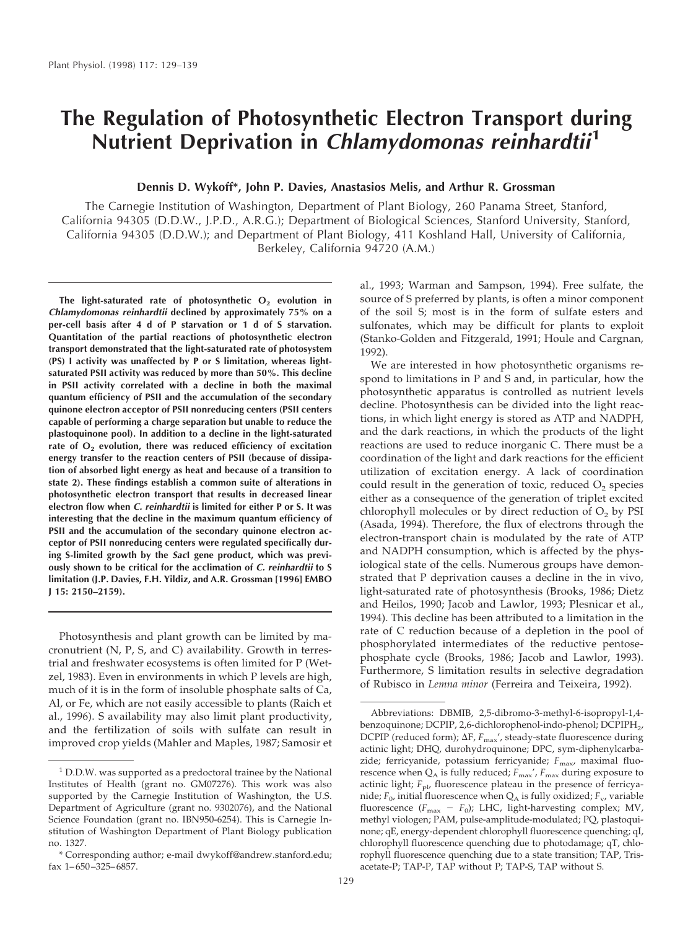# **The Regulation of Photosynthetic Electron Transport during Nutrient Deprivation in Chlamydomonas reinhardtii<sup>1</sup>**

# **Dennis D. Wykoff\*, John P. Davies, Anastasios Melis, and Arthur R. Grossman**

The Carnegie Institution of Washington, Department of Plant Biology, 260 Panama Street, Stanford, California 94305 (D.D.W., J.P.D., A.R.G.); Department of Biological Sciences, Stanford University, Stanford, California 94305 (D.D.W.); and Department of Plant Biology, 411 Koshland Hall, University of California, Berkeley, California 94720 (A.M.)

The light-saturated rate of photosynthetic O<sub>2</sub> evolution in **Chlamydomonas reinhardtii declined by approximately 75% on a per-cell basis after 4 d of P starvation or 1 d of S starvation. Quantitation of the partial reactions of photosynthetic electron transport demonstrated that the light-saturated rate of photosystem (PS) I activity was unaffected by P or S limitation, whereas lightsaturated PSII activity was reduced by more than 50%. This decline in PSII activity correlated with a decline in both the maximal quantum efficiency of PSII and the accumulation of the secondary quinone electron acceptor of PSII nonreducing centers (PSII centers capable of performing a charge separation but unable to reduce the plastoquinone pool). In addition to a decline in the light-saturated** rate of O<sub>2</sub> evolution, there was reduced efficiency of excitation **energy transfer to the reaction centers of PSII (because of dissipation of absorbed light energy as heat and because of a transition to state 2). These findings establish a common suite of alterations in photosynthetic electron transport that results in decreased linear electron flow when C. reinhardtii is limited for either P or S. It was interesting that the decline in the maximum quantum efficiency of PSII and the accumulation of the secondary quinone electron acceptor of PSII nonreducing centers were regulated specifically during S-limited growth by the SacI gene product, which was previously shown to be critical for the acclimation of C. reinhardtii to S limitation (J.P. Davies, F.H. Yildiz, and A.R. Grossman [1996] EMBO J 15: 2150–2159).**

Photosynthesis and plant growth can be limited by macronutrient (N, P, S, and C) availability. Growth in terrestrial and freshwater ecosystems is often limited for P (Wetzel, 1983). Even in environments in which P levels are high, much of it is in the form of insoluble phosphate salts of Ca, Al, or Fe, which are not easily accessible to plants (Raich et al., 1996). S availability may also limit plant productivity, and the fertilization of soils with sulfate can result in improved crop yields (Mahler and Maples, 1987; Samosir et al., 1993; Warman and Sampson, 1994). Free sulfate, the source of S preferred by plants, is often a minor component of the soil S; most is in the form of sulfate esters and sulfonates, which may be difficult for plants to exploit (Stanko-Golden and Fitzgerald, 1991; Houle and Cargnan, 1992).

We are interested in how photosynthetic organisms respond to limitations in P and S and, in particular, how the photosynthetic apparatus is controlled as nutrient levels decline. Photosynthesis can be divided into the light reactions, in which light energy is stored as ATP and NADPH, and the dark reactions, in which the products of the light reactions are used to reduce inorganic C. There must be a coordination of the light and dark reactions for the efficient utilization of excitation energy. A lack of coordination could result in the generation of toxic, reduced  $O<sub>2</sub>$  species either as a consequence of the generation of triplet excited chlorophyll molecules or by direct reduction of  $O<sub>2</sub>$  by PSI (Asada, 1994). Therefore, the flux of electrons through the electron-transport chain is modulated by the rate of ATP and NADPH consumption, which is affected by the physiological state of the cells. Numerous groups have demonstrated that P deprivation causes a decline in the in vivo, light-saturated rate of photosynthesis (Brooks, 1986; Dietz and Heilos, 1990; Jacob and Lawlor, 1993; Plesnicar et al., 1994). This decline has been attributed to a limitation in the rate of C reduction because of a depletion in the pool of phosphorylated intermediates of the reductive pentosephosphate cycle (Brooks, 1986; Jacob and Lawlor, 1993). Furthermore, S limitation results in selective degradation of Rubisco in *Lemna minor* (Ferreira and Teixeira, 1992).

<sup>1</sup> D.D.W. was supported as a predoctoral trainee by the National Institutes of Health (grant no. GM07276). This work was also supported by the Carnegie Institution of Washington, the U.S. Department of Agriculture (grant no. 9302076), and the National Science Foundation (grant no. IBN950-6254). This is Carnegie Institution of Washington Department of Plant Biology publication no. 1327.

<sup>\*</sup> Corresponding author; e-mail dwykoff@andrew.stanford.edu; fax 1–650–325–6857.

Abbreviations: DBMIB, 2,5-dibromo-3-methyl-6-isopropyl-1,4 benzoquinone; DCPIP, 2,6-dichlorophenol-indo-phenol; DCPIPH2, DCPIP (reduced form);  $\Delta F$ ,  $F_{\rm max}$ ', steady-state fluorescence during actinic light; DHQ, durohydroquinone; DPC, sym-diphenylcarbazide; ferricyanide, potassium ferricyanide;  $F_{\text{max}}$ , maximal fluorescence when  $Q_A$  is fully reduced;  $F_{\text{max}}'$ ,  $F_{\text{max}}$  during exposure to actinic light;  $F_{\text{pl}}$ , fluorescence plateau in the presence of ferricyanide;  $F_0$ , initial fluorescence when  $Q_A$  is fully oxidized;  $F_v$ , variable fluorescence  $(F_{\text{max}} - F_0)$ ; LHC, light-harvesting complex; MV, methyl viologen; PAM, pulse-amplitude-modulated; PQ, plastoquinone; qE, energy-dependent chlorophyll fluorescence quenching; qI, chlorophyll fluorescence quenching due to photodamage; qT, chlorophyll fluorescence quenching due to a state transition; TAP, Trisacetate-P; TAP-P, TAP without P; TAP-S, TAP without S.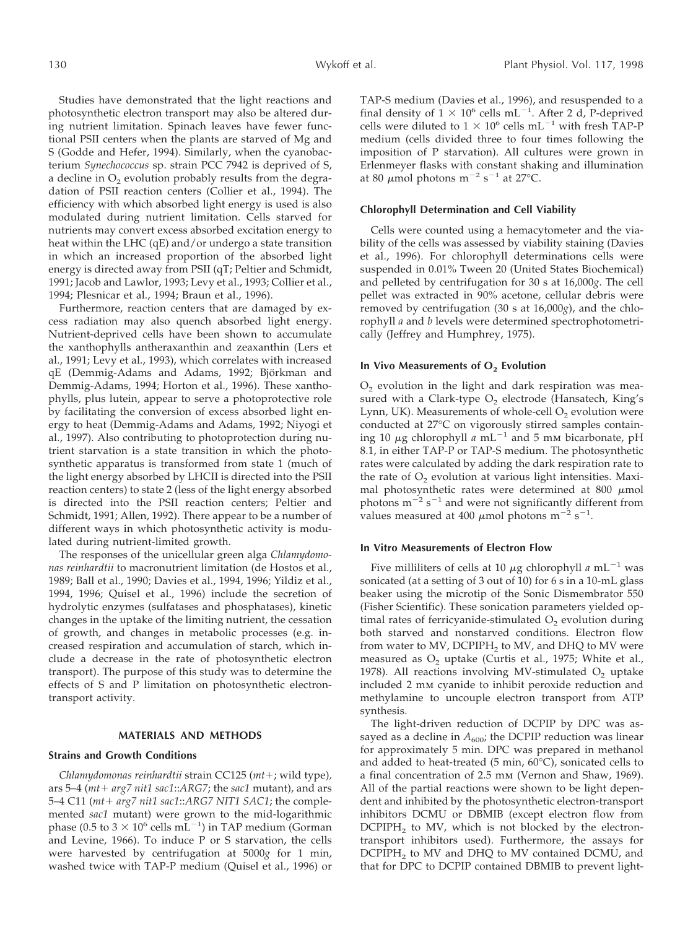Studies have demonstrated that the light reactions and photosynthetic electron transport may also be altered during nutrient limitation. Spinach leaves have fewer functional PSII centers when the plants are starved of Mg and S (Godde and Hefer, 1994). Similarly, when the cyanobacterium *Synechococcus* sp. strain PCC 7942 is deprived of S, a decline in  $O_2$  evolution probably results from the degradation of PSII reaction centers (Collier et al., 1994). The efficiency with which absorbed light energy is used is also modulated during nutrient limitation. Cells starved for nutrients may convert excess absorbed excitation energy to heat within the LHC (qE) and/or undergo a state transition in which an increased proportion of the absorbed light energy is directed away from PSII (qT; Peltier and Schmidt, 1991; Jacob and Lawlor, 1993; Levy et al., 1993; Collier et al., 1994; Plesnicar et al., 1994; Braun et al., 1996).

Furthermore, reaction centers that are damaged by excess radiation may also quench absorbed light energy. Nutrient-deprived cells have been shown to accumulate the xanthophylls antheraxanthin and zeaxanthin (Lers et al., 1991; Levy et al., 1993), which correlates with increased qE (Demmig-Adams and Adams, 1992; Björkman and Demmig-Adams, 1994; Horton et al., 1996). These xanthophylls, plus lutein, appear to serve a photoprotective role by facilitating the conversion of excess absorbed light energy to heat (Demmig-Adams and Adams, 1992; Niyogi et al., 1997). Also contributing to photoprotection during nutrient starvation is a state transition in which the photosynthetic apparatus is transformed from state 1 (much of the light energy absorbed by LHCII is directed into the PSII reaction centers) to state 2 (less of the light energy absorbed is directed into the PSII reaction centers; Peltier and Schmidt, 1991; Allen, 1992). There appear to be a number of different ways in which photosynthetic activity is modulated during nutrient-limited growth.

The responses of the unicellular green alga *Chlamydomonas reinhardtii* to macronutrient limitation (de Hostos et al., 1989; Ball et al., 1990; Davies et al., 1994, 1996; Yildiz et al., 1994, 1996; Quisel et al., 1996) include the secretion of hydrolytic enzymes (sulfatases and phosphatases), kinetic changes in the uptake of the limiting nutrient, the cessation of growth, and changes in metabolic processes (e.g. increased respiration and accumulation of starch, which include a decrease in the rate of photosynthetic electron transport). The purpose of this study was to determine the effects of S and P limitation on photosynthetic electrontransport activity.

## **MATERIALS AND METHODS**

## **Strains and Growth Conditions**

*Chlamydomonas reinhardtii* strain CC125 ( $mt$ +; wild type), ars 5–4 ( $mt$ +  $arg7$   $nit1$   $sac1$ :: $ARG7$ ; the  $sac1$  mutant), and ars 5-4 C11 (mt+ arg7 nit1 sac1::ARG7 NIT1 SAC1; the complemented *sac1* mutant) were grown to the mid-logarithmic phase (0.5 to 3  $\times$  10<sup>6</sup> cells mL<sup>-1</sup>) in TAP medium (Gorman and Levine, 1966). To induce P or S starvation, the cells were harvested by centrifugation at 5000*g* for 1 min, washed twice with TAP-P medium (Quisel et al., 1996) or TAP-S medium (Davies et al., 1996), and resuspended to a final density of  $1 \times 10^6$  cells mL<sup>-1</sup>. After 2 d, P-deprived cells were diluted to  $1 \times 10^6$  cells mL<sup>-1</sup> with fresh TAP-P medium (cells divided three to four times following the imposition of P starvation). All cultures were grown in Erlenmeyer flasks with constant shaking and illumination at 80  $\mu$ mol photons m<sup>-2</sup> s<sup>-1</sup> at 27°C.

#### **Chlorophyll Determination and Cell Viability**

Cells were counted using a hemacytometer and the viability of the cells was assessed by viability staining (Davies et al., 1996). For chlorophyll determinations cells were suspended in 0.01% Tween 20 (United States Biochemical) and pelleted by centrifugation for 30 s at 16,000*g*. The cell pellet was extracted in 90% acetone, cellular debris were removed by centrifugation (30 s at 16,000*g*), and the chlorophyll *a* and *b* levels were determined spectrophotometrically (Jeffrey and Humphrey, 1975).

## **In Vivo Measurements of O<sub>2</sub> Evolution**

 $O<sub>2</sub>$  evolution in the light and dark respiration was measured with a Clark-type  $O<sub>2</sub>$  electrode (Hansatech, King's Lynn, UK). Measurements of whole-cell  $O<sub>2</sub>$  evolution were conducted at 27°C on vigorously stirred samples containing 10  $\mu$ g chlorophyll *a* mL<sup>-1</sup> and 5 mm bicarbonate, pH 8.1, in either TAP-P or TAP-S medium. The photosynthetic rates were calculated by adding the dark respiration rate to the rate of  $O<sub>2</sub>$  evolution at various light intensities. Maximal photosynthetic rates were determined at 800  $\mu$ mol photons  $m^{-2}$  s<sup>-1</sup> and were not significantly different from values measured at 400  $\mu$ mol photons m<sup>-2</sup> s<sup>-1</sup>.

#### **In Vitro Measurements of Electron Flow**

Five milliliters of cells at 10  $\mu$ g chlorophyll *a* mL<sup>-1</sup> was sonicated (at a setting of 3 out of 10) for 6 s in a 10-mL glass beaker using the microtip of the Sonic Dismembrator 550 (Fisher Scientific). These sonication parameters yielded optimal rates of ferricyanide-stimulated  $O<sub>2</sub>$  evolution during both starved and nonstarved conditions. Electron flow from water to MV,  $DCPIPH<sub>2</sub>$  to MV, and DHQ to MV were measured as  $O<sub>2</sub>$  uptake (Curtis et al., 1975; White et al., 1978). All reactions involving MV-stimulated  $O<sub>2</sub>$  uptake included 2 mm cyanide to inhibit peroxide reduction and methylamine to uncouple electron transport from ATP synthesis.

The light-driven reduction of DCPIP by DPC was assayed as a decline in  $A_{600}$ ; the DCPIP reduction was linear for approximately 5 min. DPC was prepared in methanol and added to heat-treated (5 min, 60°C), sonicated cells to a final concentration of 2.5 mm (Vernon and Shaw, 1969). All of the partial reactions were shown to be light dependent and inhibited by the photosynthetic electron-transport inhibitors DCMU or DBMIB (except electron flow from  $DCPIPH<sub>2</sub>$  to MV, which is not blocked by the electrontransport inhibitors used). Furthermore, the assays for  $DCPIPH<sub>2</sub>$  to MV and DHQ to MV contained DCMU, and that for DPC to DCPIP contained DBMIB to prevent light-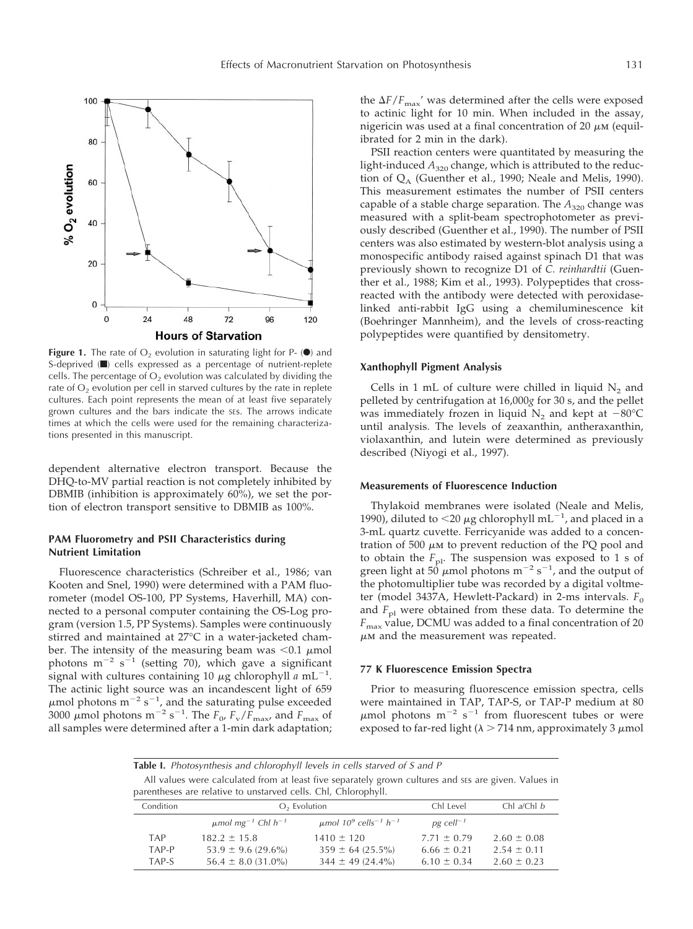

**Figure 1.** The rate of  $O_2$  evolution in saturating light for P-  $\circledbullet$  and S-deprived ( $\blacksquare$ ) cells expressed as a percentage of nutrient-replete cells. The percentage of  $O<sub>2</sub>$  evolution was calculated by dividing the rate of  $O<sub>2</sub>$  evolution per cell in starved cultures by the rate in replete cultures. Each point represents the mean of at least five separately grown cultures and the bars indicate the SEs. The arrows indicate times at which the cells were used for the remaining characterizations presented in this manuscript.

dependent alternative electron transport. Because the DHQ-to-MV partial reaction is not completely inhibited by DBMIB (inhibition is approximately 60%), we set the portion of electron transport sensitive to DBMIB as 100%.

# **PAM Fluorometry and PSII Characteristics during Nutrient Limitation**

Fluorescence characteristics (Schreiber et al., 1986; van Kooten and Snel, 1990) were determined with a PAM fluorometer (model OS-100, PP Systems, Haverhill, MA) connected to a personal computer containing the OS-Log program (version 1.5, PP Systems). Samples were continuously stirred and maintained at 27°C in a water-jacketed chamber. The intensity of the measuring beam was  $< 0.1 \mu$ mol photons  $m^{-2} s^{-1}$  (setting 70), which gave a significant signal with cultures containing 10  $\mu$ g chlorophyll  $\alpha$  mL<sup>-1</sup>. The actinic light source was an incandescent light of 659  $\mu$ mol photons m<sup>-2</sup> s<sup>-1</sup>, and the saturating pulse exceeded 3000  $\mu$  mol photons m<sup>-2</sup> s<sup>-1</sup>. The  $F_{0}$ ,  $F_{\rm v}/\overline{F}_{\rm max}$ , and  $F_{\rm max}$  of all samples were determined after a 1-min dark adaptation; the  $\Delta F/F_{\text{max}}'$  was determined after the cells were exposed to actinic light for 10 min. When included in the assay, nigericin was used at a final concentration of 20  $\mu$ M (equilibrated for 2 min in the dark).

PSII reaction centers were quantitated by measuring the light-induced  $A_{320}$  change, which is attributed to the reduction of  $Q_A$  (Guenther et al., 1990; Neale and Melis, 1990). This measurement estimates the number of PSII centers capable of a stable charge separation. The  $A_{320}$  change was measured with a split-beam spectrophotometer as previously described (Guenther et al., 1990). The number of PSII centers was also estimated by western-blot analysis using a monospecific antibody raised against spinach D1 that was previously shown to recognize D1 of *C. reinhardtii* (Guenther et al., 1988; Kim et al., 1993). Polypeptides that crossreacted with the antibody were detected with peroxidaselinked anti-rabbit IgG using a chemiluminescence kit (Boehringer Mannheim), and the levels of cross-reacting polypeptides were quantified by densitometry.

# **Xanthophyll Pigment Analysis**

Cells in 1 mL of culture were chilled in liquid  $N<sub>2</sub>$  and pelleted by centrifugation at 16,000*g* for 30 s, and the pellet was immediately frozen in liquid  $N_2$  and kept at  $-80^{\circ}$ C until analysis. The levels of zeaxanthin, antheraxanthin, violaxanthin, and lutein were determined as previously described (Niyogi et al., 1997).

#### **Measurements of Fluorescence Induction**

Thylakoid membranes were isolated (Neale and Melis, 1990), diluted to  $\langle 20 \mu$ g chlorophyll mL<sup>-1</sup>, and placed in a 3-mL quartz cuvette. Ferricyanide was added to a concentration of 500  $\mu$ M to prevent reduction of the PQ pool and to obtain the  $F_{\text{pl}}$ . The suspension was exposed to 1 s of green light at  $50 \mu$ mol photons m<sup>-2</sup> s<sup>-1</sup>, and the output of the photomultiplier tube was recorded by a digital voltmeter (model 3437A, Hewlett-Packard) in 2-ms intervals.  $F_0$ and  $F_{\text{pl}}$  were obtained from these data. To determine the *F*max value, DCMU was added to a final concentration of 20  $\mu$ M and the measurement was repeated.

#### **77 K Fluorescence Emission Spectra**

Prior to measuring fluorescence emission spectra, cells were maintained in TAP, TAP-S, or TAP-P medium at 80  $\mu$ mol photons m<sup>-2</sup> s<sup>-1</sup> from fluorescent tubes or were exposed to far-red light ( $\lambda$  > 714 nm, approximately 3  $\mu$ mol

# Table I. Photosynthesis and chlorophyll levels in cells starved of S and P

All values were calculated from at least five separately grown cultures and ses are given. Values in parentheses are relative to unstarved cells. Chl, Chlorophyll.

| Condition |                                                | $O2$ Evolution                                                | Chl Level               | Chl a/Chl b     |
|-----------|------------------------------------------------|---------------------------------------------------------------|-------------------------|-----------------|
|           | $\mu$ mol mg <sup>-1</sup> Chl h <sup>-1</sup> | $\mu$ mol 10 <sup>9</sup> cells <sup>-1</sup> h <sup>-1</sup> | $pg$ cell <sup>-1</sup> |                 |
| TAP       | $182.2 + 15.8$                                 | $1410 \pm 120$                                                | $7.71 \pm 0.79$         | $2.60 \pm 0.08$ |
| TAP-P     | $53.9 \pm 9.6$ (29.6%)                         | $359 \pm 64 (25.5\%)$                                         | $6.66 \pm 0.21$         | $2.54 \pm 0.11$ |
| TAP-S     | $56.4 \pm 8.0$ (31.0%)                         | $344 \pm 49$ (24.4%)                                          | $6.10 \pm 0.34$         | $2.60 \pm 0.23$ |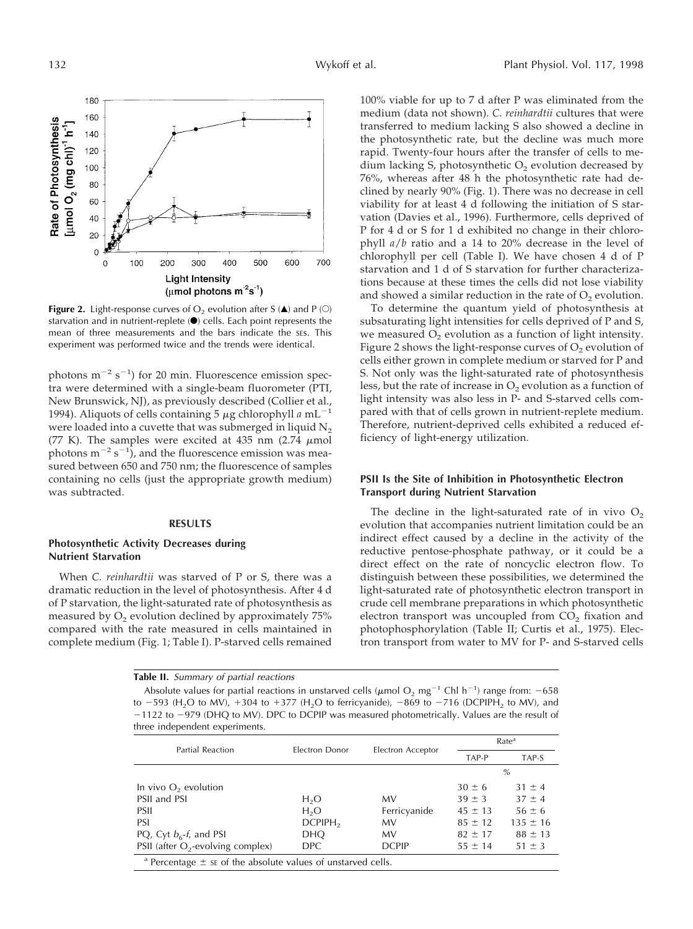

**Figure 2.** Light-response curves of  $O_2$  evolution after S ( $\triangle$ ) and P ( $\odot$ ) starvation and in nutrient-replete  $\left( \bullet \right)$  cells. Each point represents the mean of three measurements and the bars indicate the SEs. This experiment was performed twice and the trends were identical.

photons  $m^{-2}$  s<sup>-1</sup>) for 20 min. Fluorescence emission spectra were determined with a single-beam fluorometer (PTI, New Brunswick, NJ), as previously described (Collier et al., 1994). Aliquots of cells containing 5  $\mu$ g chlorophyll *a* mL<sup>-1</sup> were loaded into a cuvette that was submerged in liquid  $N_2$ (77 K). The samples were excited at 435 nm (2.74  $\mu$ mol photons  $m^{-2} s^{-1}$ , and the fluorescence emission was measured between 650 and 750 nm; the fluorescence of samples containing no cells (just the appropriate growth medium) was subtracted.

#### **RESULTS**

## **Photosynthetic Activity Decreases during Nutrient Starvation**

When *C. reinhardtii* was starved of P or S, there was a dramatic reduction in the level of photosynthesis. After 4 d of P starvation, the light-saturated rate of photosynthesis as measured by  $O<sub>2</sub>$  evolution declined by approximately 75% compared with the rate measured in cells maintained in complete medium (Fig. 1; Table I). P-starved cells remained

100% viable for up to 7 d after P was eliminated from the medium (data not shown). *C. reinhardtii* cultures that were transferred to medium lacking S also showed a decline in the photosynthetic rate, but the decline was much more rapid. Twenty-four hours after the transfer of cells to medium lacking S, photosynthetic  $O<sub>2</sub>$  evolution decreased by 76%, whereas after 48 h the photosynthetic rate had declined by nearly 90% (Fig. 1). There was no decrease in cell viability for at least 4 d following the initiation of S starvation (Davies et al., 1996). Furthermore, cells deprived of P for 4 d or S for 1 d exhibited no change in their chlorophyll *a*/*b* ratio and a 14 to 20% decrease in the level of chlorophyll per cell (Table I). We have chosen 4 d of P starvation and 1 d of S starvation for further characterizations because at these times the cells did not lose viability and showed a similar reduction in the rate of  $O<sub>2</sub>$  evolution.

To determine the quantum yield of photosynthesis at subsaturating light intensities for cells deprived of P and S, we measured  $O<sub>2</sub>$  evolution as a function of light intensity. Figure 2 shows the light-response curves of  $O<sub>2</sub>$  evolution of cells either grown in complete medium or starved for P and S. Not only was the light-saturated rate of photosynthesis less, but the rate of increase in  $O<sub>2</sub>$  evolution as a function of light intensity was also less in P- and S-starved cells compared with that of cells grown in nutrient-replete medium. Therefore, nutrient-deprived cells exhibited a reduced efficiency of light-energy utilization.

## **PSII Is the Site of Inhibition in Photosynthetic Electron Transport during Nutrient Starvation**

The decline in the light-saturated rate of in vivo  $O_2$ evolution that accompanies nutrient limitation could be an indirect effect caused by a decline in the activity of the reductive pentose-phosphate pathway, or it could be a direct effect on the rate of noncyclic electron flow. To distinguish between these possibilities, we determined the light-saturated rate of photosynthetic electron transport in crude cell membrane preparations in which photosynthetic electron transport was uncoupled from  $CO<sub>2</sub>$  fixation and photophosphorylation (Table II; Curtis et al., 1975). Electron transport from water to MV for P- and S-starved cells

**Table II.** Summary of partial reactions

Absolute values for partial reactions in unstarved cells ( $\mu$ mol O<sub>2</sub> mg<sup>-1</sup> Chl h<sup>-1</sup>) range from: -658 to  $-593$  (H<sub>2</sub>O to MV),  $+304$  to  $+377$  (H<sub>2</sub>O to ferricyanide),  $-869$  to  $-716$  (DCPIPH<sub>2</sub> to MV), and  $-1122$  to  $-979$  (DHQ to MV). DPC to DCPIP was measured photometrically. Values are the result of three independent experiments.

| <b>Partial Reaction</b>                                                     | Electron Donor         |                   | Rate <sup>a</sup> |              |  |
|-----------------------------------------------------------------------------|------------------------|-------------------|-------------------|--------------|--|
|                                                                             |                        | Electron Acceptor | TAP-P             | TAP-S        |  |
|                                                                             |                        |                   |                   | $\%$         |  |
| In vivo $O_2$ evolution                                                     |                        |                   | $30 \pm 6$        | $31 \pm 4$   |  |
| PSII and PSI                                                                | H <sub>2</sub> O       | MV                | $39 \pm 3$        | $37 \pm 4$   |  |
| PSIL                                                                        | H <sub>2</sub> O       | Ferricyanide      | $45 \pm 13$       | $56 \pm 6$   |  |
| PSI                                                                         | $D$ CPIPH <sub>2</sub> | MV                | $85 \pm 12$       | $135 \pm 16$ |  |
| PQ, Cyt $b_6$ -f, and PSI                                                   | <b>DHO</b>             | MV                | $82 \pm 17$       | $88 \pm 13$  |  |
| PSII (after $O_2$ -evolving complex)                                        | DPC.                   | <b>DCPIP</b>      | $55 \pm 14$       | $51 \pm 3$   |  |
| <sup>a</sup> Percentage $\pm$ se of the absolute values of unstarved cells. |                        |                   |                   |              |  |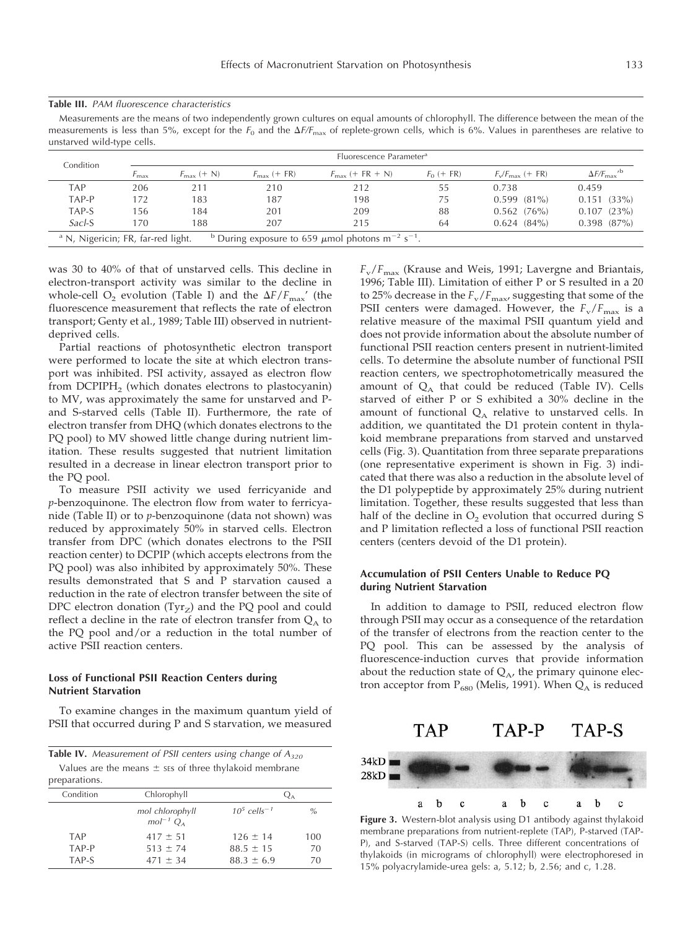#### **Table III.** PAM fluorescence characteristics

Measurements are the means of two independently grown cultures on equal amounts of chlorophyll. The difference between the mean of the measurements is less than 5%, except for the  $F_0$  and the  $\Delta F/F_{\text{max}}$  of replete-grown cells, which is 6%. Values in parentheses are relative to unstarved wild-type cells.

| Condition                                     |     |                        |                         | Fluorescence Parameter <sup>a</sup>                                                     |              |                             |                                     |
|-----------------------------------------------|-----|------------------------|-------------------------|-----------------------------------------------------------------------------------------|--------------|-----------------------------|-------------------------------------|
|                                               | max | $F_{\text{max}}$ (+ N) | $F_{\text{max}}$ (+ FR) | $F_{\text{max}}$ (+ FR + N)                                                             | $F_0$ (+ FR) | $F_v/F_{\text{max}}$ (+ FR) | $\Delta F/F_{\rm max}$ <sup>b</sup> |
| TAP                                           | 206 | 211                    | 210                     | 212                                                                                     | 55           | 0.738                       | 0.459                               |
| TAP-P                                         | 172 | 183                    | 187                     | 198                                                                                     | 75           | $0.599(81\%)$               | $0.151(33\%)$                       |
| TAP-S                                         | 156 | 184                    | 201                     | 209                                                                                     | 88           | $0.562$ (76%)               | $0.107$ $(23\%)$                    |
| Sacl-S                                        | 170 | 188                    | 207                     | 215                                                                                     | 64           | $0.624$ $(84\%)$            | $0.398$ $(87\%)$                    |
| <sup>a</sup> N, Nigericin; FR, far-red light. |     |                        |                         | <sup>b</sup> During exposure to 659 $\mu$ mol photons m <sup>-2</sup> s <sup>-1</sup> . |              |                             |                                     |

was 30 to 40% of that of unstarved cells. This decline in electron-transport activity was similar to the decline in whole-cell  $O_2$  evolution (Table I) and the  $\Delta F/F_{\text{max}}'$  (the fluorescence measurement that reflects the rate of electron transport; Genty et al., 1989; Table III) observed in nutrientdeprived cells.

Partial reactions of photosynthetic electron transport were performed to locate the site at which electron transport was inhibited. PSI activity, assayed as electron flow from DCPIPH<sub>2</sub> (which donates electrons to plastocyanin) to MV, was approximately the same for unstarved and Pand S-starved cells (Table II). Furthermore, the rate of electron transfer from DHQ (which donates electrons to the PQ pool) to MV showed little change during nutrient limitation. These results suggested that nutrient limitation resulted in a decrease in linear electron transport prior to the PQ pool.

To measure PSII activity we used ferricyanide and *p*-benzoquinone. The electron flow from water to ferricyanide (Table II) or to *p*-benzoquinone (data not shown) was reduced by approximately 50% in starved cells. Electron transfer from DPC (which donates electrons to the PSII reaction center) to DCPIP (which accepts electrons from the PQ pool) was also inhibited by approximately 50%. These results demonstrated that S and P starvation caused a reduction in the rate of electron transfer between the site of DPC electron donation  $(Tyr_Z)$  and the PQ pool and could reflect a decline in the rate of electron transfer from  $Q_A$  to the PQ pool and/or a reduction in the total number of active PSII reaction centers.

## **Loss of Functional PSII Reaction Centers during Nutrient Starvation**

To examine changes in the maximum quantum yield of PSII that occurred during P and S starvation, we measured

|               | <b>Table IV.</b> Measurement of PSII centers using change of $A_{320}$ |  |
|---------------|------------------------------------------------------------------------|--|
|               | Values are the means $\pm$ ses of three thylakoid membrane             |  |
| preparations. |                                                                        |  |

| Chlorophyll                        |                            |      |
|------------------------------------|----------------------------|------|
| mol chlorophyll<br>$mol^{-1}$ $OA$ | $10^5$ cells <sup>-1</sup> | $\%$ |
| $417 \pm 51$                       | $126 \pm 14$               | 100  |
| $513 + 74$                         | $88.5 \pm 15$              | 70   |
| $471 + 34$                         | $88.3 \pm 6.9$             | 70   |
|                                    |                            |      |

 $F_v/F_{\text{max}}$  (Krause and Weis, 1991; Lavergne and Briantais, 1996; Table III). Limitation of either P or S resulted in a 20 to 25% decrease in the  $F_v/F_{\text{max}}$ , suggesting that some of the PSII centers were damaged. However, the  $F_v/F_{max}$  is a relative measure of the maximal PSII quantum yield and does not provide information about the absolute number of functional PSII reaction centers present in nutrient-limited cells. To determine the absolute number of functional PSII reaction centers, we spectrophotometrically measured the amount of  $Q_{\text{A}}$  that could be reduced (Table IV). Cells starved of either P or S exhibited a 30% decline in the amount of functional  $Q_A$  relative to unstarved cells. In addition, we quantitated the D1 protein content in thylakoid membrane preparations from starved and unstarved cells (Fig. 3). Quantitation from three separate preparations (one representative experiment is shown in Fig. 3) indicated that there was also a reduction in the absolute level of the D1 polypeptide by approximately 25% during nutrient limitation. Together, these results suggested that less than half of the decline in  $O<sub>2</sub>$  evolution that occurred during S and P limitation reflected a loss of functional PSII reaction centers (centers devoid of the D1 protein).

## **Accumulation of PSII Centers Unable to Reduce PQ during Nutrient Starvation**

In addition to damage to PSII, reduced electron flow through PSII may occur as a consequence of the retardation of the transfer of electrons from the reaction center to the PQ pool. This can be assessed by the analysis of fluorescence-induction curves that provide information about the reduction state of  $Q_A$ , the primary quinone electron acceptor from  $P_{680}$  (Melis, 1991). When  $Q_A$  is reduced



**Figure 3.** Western-blot analysis using D1 antibody against thylakoid membrane preparations from nutrient-replete (TAP), P-starved (TAP-P), and S-starved (TAP-S) cells. Three different concentrations of thylakoids (in micrograms of chlorophyll) were electrophoresed in 15% polyacrylamide-urea gels: a, 5.12; b, 2.56; and c, 1.28.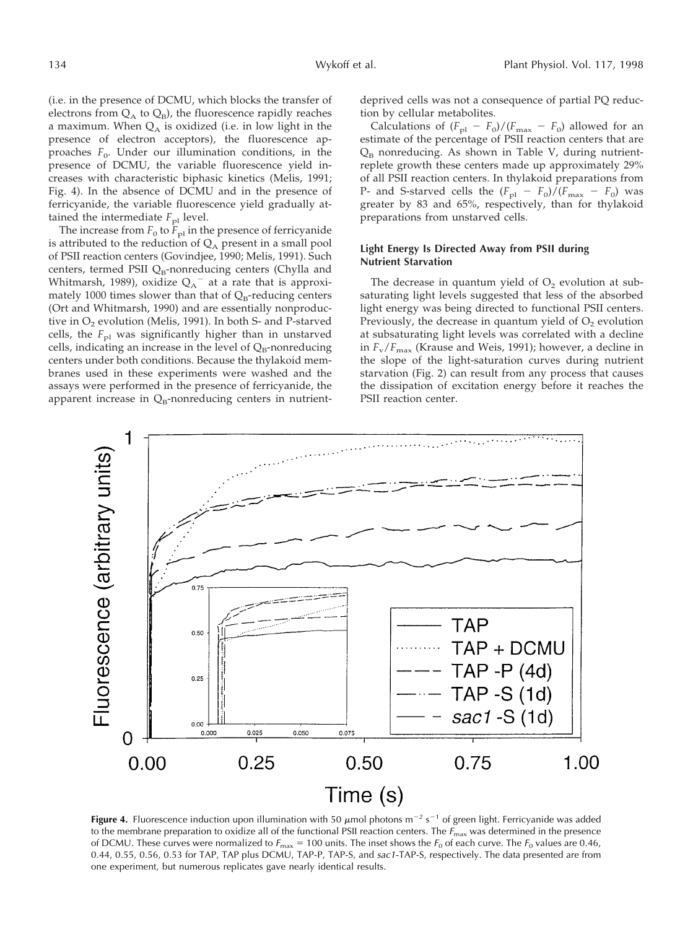(i.e. in the presence of DCMU, which blocks the transfer of electrons from  $Q_A$  to  $Q_B$ ), the fluorescence rapidly reaches a maximum. When  $Q<sub>A</sub>$  is oxidized (i.e. in low light in the presence of electron acceptors), the fluorescence approaches  $F_0$ . Under our illumination conditions, in the presence of DCMU, the variable fluorescence yield increases with characteristic biphasic kinetics (Melis, 1991; Fig. 4). In the absence of DCMU and in the presence of ferricyanide, the variable fluorescence yield gradually attained the intermediate  $F_{\text{pl}}$  level.

The increase from  $F_0$  to  $\overline{F}_{p1}$  in the presence of ferricyanide is attributed to the reduction of  $Q_A$  present in a small pool of PSII reaction centers (Govindjee, 1990; Melis, 1991). Such centers, termed PSII  $Q_B$ -nonreducing centers (Chylla and Whitmarsh, 1989), oxidize  $Q_A^-$  at a rate that is approximately 1000 times slower than that of  $Q_B$ -reducing centers (Ort and Whitmarsh, 1990) and are essentially nonproductive in  $O_2$  evolution (Melis, 1991). In both S- and P-starved cells, the  $F_{\text{pl}}$  was significantly higher than in unstarved cells, indicating an increase in the level of  $Q_B$ -nonreducing centers under both conditions. Because the thylakoid membranes used in these experiments were washed and the assays were performed in the presence of ferricyanide, the apparent increase in  $Q_B$ -nonreducing centers in nutrientdeprived cells was not a consequence of partial PQ reduction by cellular metabolites.

Calculations of  $(F_{\text{pl}} - F_0)/(F_{\text{max}} - F_0)$  allowed for an estimate of the percentage of PSII reaction centers that are  $Q_B$  nonreducing. As shown in Table V, during nutrientreplete growth these centers made up approximately 29% of all PSII reaction centers. In thylakoid preparations from P- and S-starved cells the  $(F_{\text{pl}} - F_0)/(F_{\text{max}} - F_0)$  was greater by 83 and 65%, respectively, than for thylakoid preparations from unstarved cells.

## **Light Energy Is Directed Away from PSII during Nutrient Starvation**

The decrease in quantum yield of  $O<sub>2</sub>$  evolution at subsaturating light levels suggested that less of the absorbed light energy was being directed to functional PSII centers. Previously, the decrease in quantum yield of  $O<sub>2</sub>$  evolution at subsaturating light levels was correlated with a decline in  $F_v/F_{\text{max}}$  (Krause and Weis, 1991); however, a decline in the slope of the light-saturation curves during nutrient starvation (Fig. 2) can result from any process that causes the dissipation of excitation energy before it reaches the PSII reaction center.



**Figure 4.** Fluorescence induction upon illumination with 50  $\mu$ mol photons m<sup>-2</sup> s<sup>-1</sup> of green light. Ferricyanide was added to the membrane preparation to oxidize all of the functional PSII reaction centers. The  $F_{\text{max}}$  was determined in the presence of DCMU. These curves were normalized to  $F_{\text{max}} = 100$  units. The inset shows the  $F_0$  of each curve. The  $F_0$  values are 0.46, 0.44, 0.55, 0.56, 0.53 for TAP, TAP plus DCMU, TAP-P, TAP-S, and sac1-TAP-S, respectively. The data presented are from one experiment, but numerous replicates gave nearly identical results.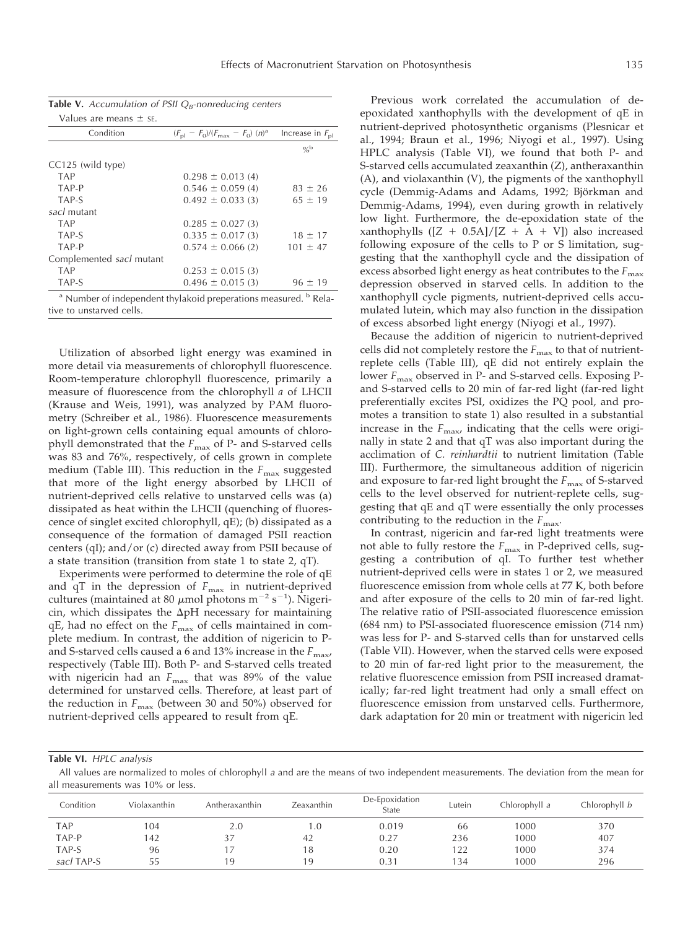| m | ۰<br>I<br>۰.<br>× | ٠<br>۰.<br>v<br>× |
|---|-------------------|-------------------|
|   |                   |                   |

| Values are means $\pm$ se.                                                             |                                                           |                             |  |  |  |
|----------------------------------------------------------------------------------------|-----------------------------------------------------------|-----------------------------|--|--|--|
| Condition                                                                              | $(F_{\rm pl} - F_0)/(F_{\rm max} - F_0)$ (n) <sup>a</sup> | Increase in $F_{\text{nl}}$ |  |  |  |
|                                                                                        |                                                           | $O_{\alpha}$ b              |  |  |  |
| CC125 (wild type)                                                                      |                                                           |                             |  |  |  |
| <b>TAP</b>                                                                             | $0.298 \pm 0.013$ (4)                                     |                             |  |  |  |
| TAP-P                                                                                  | $0.546 \pm 0.059(4)$                                      | $83 \pm 26$                 |  |  |  |
| TAP-S                                                                                  | $0.492 \pm 0.033(3)$                                      | $65 \pm 19$                 |  |  |  |
| sacl mutant                                                                            |                                                           |                             |  |  |  |
| <b>TAP</b>                                                                             | $0.285 \pm 0.027$ (3)                                     |                             |  |  |  |
| TAP-S                                                                                  | $0.335 \pm 0.017(3)$                                      | $18 \pm 17$                 |  |  |  |
| TAP-P                                                                                  | $0.574 \pm 0.066$ (2)                                     | $101 \pm 47$                |  |  |  |
| Complemented sacl mutant                                                               |                                                           |                             |  |  |  |
| <b>TAP</b>                                                                             | $0.253 \pm 0.015$ (3)                                     |                             |  |  |  |
| TAP-S                                                                                  | $0.496 \pm 0.015$ (3)                                     | $96 \pm 19$                 |  |  |  |
| <sup>a</sup> Number of independent thylakoid preperations measured. <sup>b</sup> Rela- |                                                           |                             |  |  |  |
| tive to unstarved cells.                                                               |                                                           |                             |  |  |  |

**Table V.** Accumulation of PSII  $Q_B$ -nonreducing centers

Utilization of absorbed light energy was examined in more detail via measurements of chlorophyll fluorescence. Room-temperature chlorophyll fluorescence, primarily a measure of fluorescence from the chlorophyll *a* of LHCII (Krause and Weis, 1991), was analyzed by PAM fluorometry (Schreiber et al., 1986). Fluorescence measurements on light-grown cells containing equal amounts of chlorophyll demonstrated that the  $F_{\text{max}}$  of P- and S-starved cells was 83 and 76%, respectively, of cells grown in complete medium (Table III). This reduction in the  $F_{\text{max}}$  suggested that more of the light energy absorbed by LHCII of nutrient-deprived cells relative to unstarved cells was (a) dissipated as heat within the LHCII (quenching of fluorescence of singlet excited chlorophyll, qE); (b) dissipated as a consequence of the formation of damaged PSII reaction centers (qI); and/or (c) directed away from PSII because of a state transition (transition from state 1 to state 2, qT).

Experiments were performed to determine the role of qE and qT in the depression of  $F_{\text{max}}$  in nutrient-deprived cultures (maintained at 80  $\mu$ mol photons m<sup>-2</sup> s<sup>-1</sup>). Nigericin, which dissipates the  $\Delta$ pH necessary for maintaining qE, had no effect on the  $F_{\text{max}}$  of cells maintained in complete medium. In contrast, the addition of nigericin to Pand S-starved cells caused a 6 and 13% increase in the  $F_{\text{max}}$ respectively (Table III). Both P- and S-starved cells treated with nigericin had an  $F_{\text{max}}$  that was 89% of the value determined for unstarved cells. Therefore, at least part of the reduction in  $F_{\text{max}}$  (between 30 and 50%) observed for nutrient-deprived cells appeared to result from qE.

Previous work correlated the accumulation of deepoxidated xanthophylls with the development of qE in nutrient-deprived photosynthetic organisms (Plesnicar et al., 1994; Braun et al., 1996; Niyogi et al., 1997). Using HPLC analysis (Table VI), we found that both P- and S-starved cells accumulated zeaxanthin (Z), antheraxanthin (A), and violaxanthin (V), the pigments of the xanthophyll cycle (Demmig-Adams and Adams, 1992; Björkman and Demmig-Adams, 1994), even during growth in relatively low light. Furthermore, the de-epoxidation state of the xanthophylls  $([Z + 0.5A]/[Z + A + V])$  also increased following exposure of the cells to P or S limitation, suggesting that the xanthophyll cycle and the dissipation of excess absorbed light energy as heat contributes to the  $F_{\text{max}}$ depression observed in starved cells. In addition to the xanthophyll cycle pigments, nutrient-deprived cells accumulated lutein, which may also function in the dissipation of excess absorbed light energy (Niyogi et al., 1997).

Because the addition of nigericin to nutrient-deprived cells did not completely restore the  $F_{\text{max}}$  to that of nutrientreplete cells (Table III), qE did not entirely explain the lower  $F_{\text{max}}$  observed in P- and S-starved cells. Exposing Pand S-starved cells to 20 min of far-red light (far-red light preferentially excites PSI, oxidizes the PQ pool, and promotes a transition to state 1) also resulted in a substantial increase in the  $F_{\text{max}}$ , indicating that the cells were originally in state 2 and that qT was also important during the acclimation of *C. reinhardtii* to nutrient limitation (Table III). Furthermore, the simultaneous addition of nigericin and exposure to far-red light brought the  $F_{\text{max}}$  of S-starved cells to the level observed for nutrient-replete cells, suggesting that qE and qT were essentially the only processes contributing to the reduction in the  $F_{\text{max}}$ .

In contrast, nigericin and far-red light treatments were not able to fully restore the  $F_{\text{max}}$  in P-deprived cells, suggesting a contribution of qI. To further test whether nutrient-deprived cells were in states 1 or 2, we measured fluorescence emission from whole cells at 77 K, both before and after exposure of the cells to 20 min of far-red light. The relative ratio of PSII-associated fluorescence emission (684 nm) to PSI-associated fluorescence emission (714 nm) was less for P- and S-starved cells than for unstarved cells (Table VII). However, when the starved cells were exposed to 20 min of far-red light prior to the measurement, the relative fluorescence emission from PSII increased dramatically; far-red light treatment had only a small effect on fluorescence emission from unstarved cells. Furthermore, dark adaptation for 20 min or treatment with nigericin led

## **Table VI.** HPLC analysis

All values are normalized to moles of chlorophyll <sup>a</sup> and are the means of two independent measurements. The deviation from the mean for all measurements was 10% or less.

| Condition  | Violaxanthin | Antheraxanthin | Zeaxanthin | De-Epoxidation<br>State | Lutein | Chlorophyll a | Chlorophyll b |
|------------|--------------|----------------|------------|-------------------------|--------|---------------|---------------|
| <b>TAP</b> | 104          | 2.0            | 0. ،       | 0.019                   | 66     | 1000          | 370           |
| TAP-P      | 42           | 37             | 42         | 0.27                    | 236    | 1000          | 407           |
| TAP-S      | 96           |                | 18         | 0.20                    | 122    | 1000          | 374           |
| sacl TAP-S | 55           | 19             | 19         | 0.31                    | 134    | 1000          | 296           |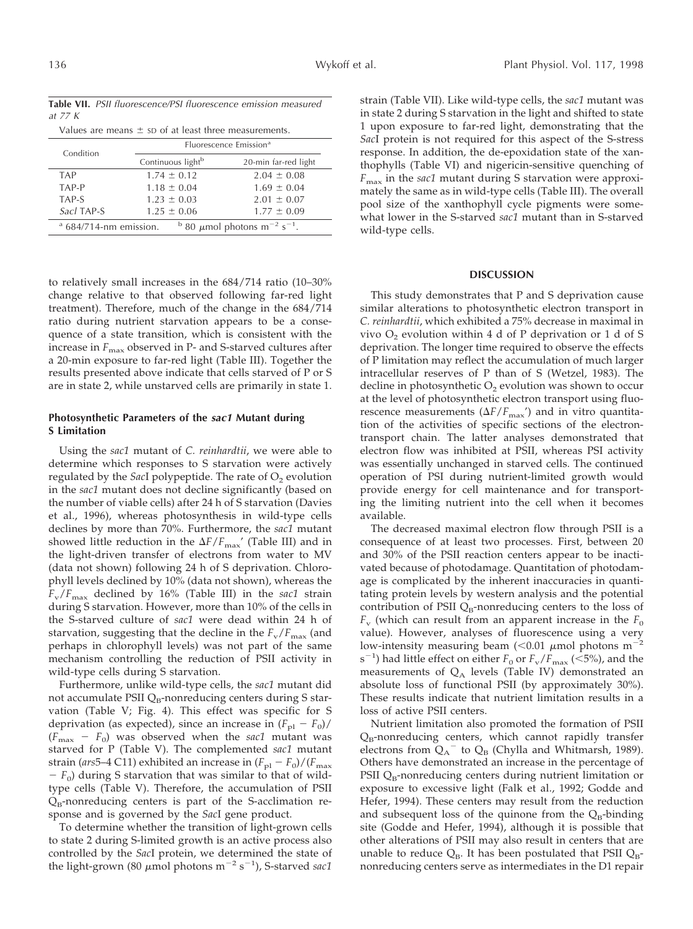| Values are means $\pm$ sp of at least three measurements.                              |                                    |                      |  |  |
|----------------------------------------------------------------------------------------|------------------------------------|----------------------|--|--|
| Condition                                                                              | Fluorescence Emission <sup>a</sup> |                      |  |  |
|                                                                                        | Continuous light <sup>b</sup>      | 20-min far-red light |  |  |
| <b>TAP</b>                                                                             | $1.74 \pm 0.12$                    | $2.04 \pm 0.08$      |  |  |
| TAP-P                                                                                  | $1.18 \pm 0.04$                    | $1.69 \pm 0.04$      |  |  |
| TAP-S                                                                                  | $1.23 \pm 0.03$                    | $2.01 \pm 0.07$      |  |  |
| Sacl TAP-S                                                                             | $1.25 \pm 0.06$                    | $1.77 \pm 0.09$      |  |  |
| $a$ 684/714-nm emission.<br>$b$ 80 $\mu$ mol photons m <sup>-2</sup> s <sup>-1</sup> . |                                    |                      |  |  |

to relatively small increases in the 684/714 ratio (10–30% change relative to that observed following far-red light treatment). Therefore, much of the change in the 684/714 ratio during nutrient starvation appears to be a consequence of a state transition, which is consistent with the increase in  $F_{\text{max}}$  observed in P- and S-starved cultures after a 20-min exposure to far-red light (Table III). Together the results presented above indicate that cells starved of P or S are in state 2, while unstarved cells are primarily in state 1.

## **Photosynthetic Parameters of the sac1 Mutant during S Limitation**

Using the *sac1* mutant of *C. reinhardtii*, we were able to determine which responses to S starvation were actively regulated by the *SacI* polypeptide. The rate of O<sub>2</sub> evolution in the *sac1* mutant does not decline significantly (based on the number of viable cells) after 24 h of S starvation (Davies et al., 1996), whereas photosynthesis in wild-type cells declines by more than 70%. Furthermore, the *sac1* mutant showed little reduction in the  $\Delta F/F_{\text{max}}'$  (Table III) and in the light-driven transfer of electrons from water to MV (data not shown) following 24 h of S deprivation. Chlorophyll levels declined by 10% (data not shown), whereas the *F*v/*F*max declined by 16% (Table III) in the *sac1* strain during S starvation. However, more than 10% of the cells in the S-starved culture of *sac1* were dead within 24 h of starvation, suggesting that the decline in the  $F_v/F_{max}$  (and perhaps in chlorophyll levels) was not part of the same mechanism controlling the reduction of PSII activity in wild-type cells during S starvation.

Furthermore, unlike wild-type cells, the *sac1* mutant did not accumulate PSII  $Q_B$ -nonreducing centers during S starvation (Table V; Fig. 4). This effect was specific for S deprivation (as expected), since an increase in  $(F_{\text{pl}} - F_0)$ /  $(F_{\text{max}} - F_0)$  was observed when the *sac1* mutant was starved for P (Table V). The complemented *sac1* mutant strain (*ars*5–4 C11) exhibited an increase in  $(F_{\text{pl}} - F_0)/(F_{\text{max}})$  $-F_0$ ) during S starvation that was similar to that of wildtype cells (Table V). Therefore, the accumulation of PSII  $Q_B$ -nonreducing centers is part of the S-acclimation response and is governed by the *Sac*I gene product.

To determine whether the transition of light-grown cells to state 2 during S-limited growth is an active process also controlled by the *Sac*I protein, we determined the state of the light-grown (80  $\mu$ mol photons m<sup>-2</sup> s<sup>-1</sup>), S-starved *sac1*  strain (Table VII). Like wild-type cells, the *sac1* mutant was in state 2 during S starvation in the light and shifted to state 1 upon exposure to far-red light, demonstrating that the *Sac*I protein is not required for this aspect of the S-stress response. In addition, the de-epoxidation state of the xanthophylls (Table VI) and nigericin-sensitive quenching of *F*max in the *sac1* mutant during S starvation were approximately the same as in wild-type cells (Table III). The overall pool size of the xanthophyll cycle pigments were somewhat lower in the S-starved *sac1* mutant than in S-starved wild-type cells.

## **DISCUSSION**

This study demonstrates that P and S deprivation cause similar alterations to photosynthetic electron transport in *C. reinhardtii*, which exhibited a 75% decrease in maximal in vivo  $O_2$  evolution within 4 d of P deprivation or 1 d of S deprivation. The longer time required to observe the effects of P limitation may reflect the accumulation of much larger intracellular reserves of P than of S (Wetzel, 1983). The decline in photosynthetic  $O<sub>2</sub>$  evolution was shown to occur at the level of photosynthetic electron transport using fluorescence measurements  $(\Delta F/F_{\text{max}}')$  and in vitro quantitation of the activities of specific sections of the electrontransport chain. The latter analyses demonstrated that electron flow was inhibited at PSII, whereas PSI activity was essentially unchanged in starved cells. The continued operation of PSI during nutrient-limited growth would provide energy for cell maintenance and for transporting the limiting nutrient into the cell when it becomes available.

The decreased maximal electron flow through PSII is a consequence of at least two processes. First, between 20 and 30% of the PSII reaction centers appear to be inactivated because of photodamage. Quantitation of photodamage is complicated by the inherent inaccuracies in quantitating protein levels by western analysis and the potential contribution of PSII  $Q_B$ -nonreducing centers to the loss of  $F_v$  (which can result from an apparent increase in the  $F_0$ value). However, analyses of fluorescence using a very low-intensity measuring beam ( $< 0.01 \mu$ mol photons m<sup>-2</sup>  $(s^{-1})$  had little effect on either  $F_0$  or  $F_v/F_{\text{max}}$  (<5%), and the measurements of  $Q_A$  levels (Table IV) demonstrated an absolute loss of functional PSII (by approximately 30%). These results indicate that nutrient limitation results in a loss of active PSII centers.

Nutrient limitation also promoted the formation of PSII  $Q_B$ -nonreducing centers, which cannot rapidly transfer electrons from  $Q_A^-$  to  $Q_B$  (Chylla and Whitmarsh, 1989). Others have demonstrated an increase in the percentage of PSII  $Q_B$ -nonreducing centers during nutrient limitation or exposure to excessive light (Falk et al., 1992; Godde and Hefer, 1994). These centers may result from the reduction and subsequent loss of the quinone from the  $Q_B$ -binding site (Godde and Hefer, 1994), although it is possible that other alterations of PSII may also result in centers that are unable to reduce  $Q_B$ . It has been postulated that PSII  $Q_B$ nonreducing centers serve as intermediates in the D1 repair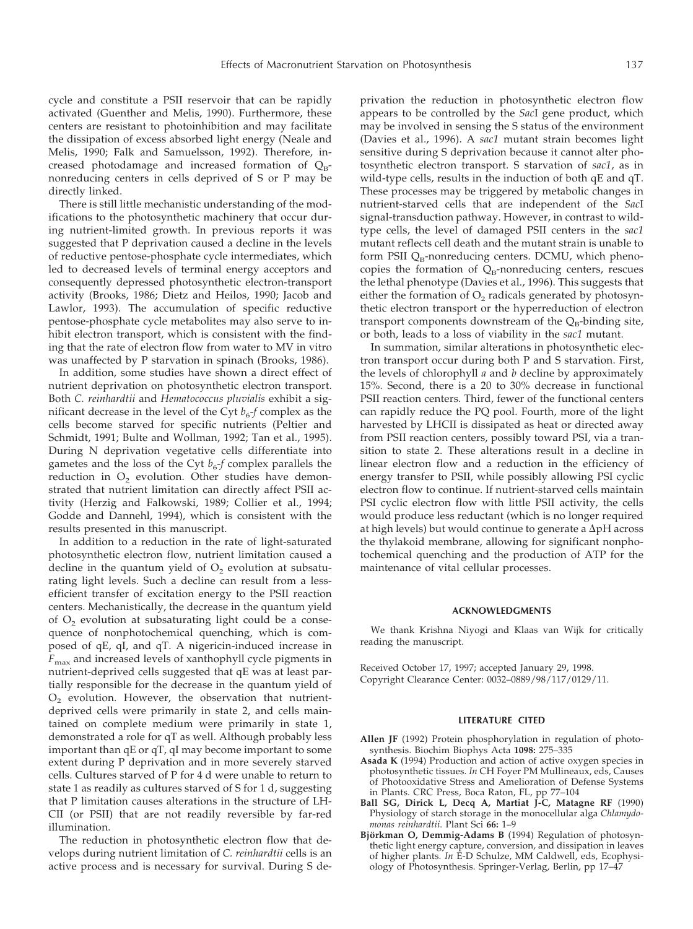cycle and constitute a PSII reservoir that can be rapidly activated (Guenther and Melis, 1990). Furthermore, these centers are resistant to photoinhibition and may facilitate the dissipation of excess absorbed light energy (Neale and Melis, 1990; Falk and Samuelsson, 1992). Therefore, increased photodamage and increased formation of  $Q_{B}$ nonreducing centers in cells deprived of S or P may be directly linked.

There is still little mechanistic understanding of the modifications to the photosynthetic machinery that occur during nutrient-limited growth. In previous reports it was suggested that P deprivation caused a decline in the levels of reductive pentose-phosphate cycle intermediates, which led to decreased levels of terminal energy acceptors and consequently depressed photosynthetic electron-transport activity (Brooks, 1986; Dietz and Heilos, 1990; Jacob and Lawlor, 1993). The accumulation of specific reductive pentose-phosphate cycle metabolites may also serve to inhibit electron transport, which is consistent with the finding that the rate of electron flow from water to MV in vitro was unaffected by P starvation in spinach (Brooks, 1986).

In addition, some studies have shown a direct effect of nutrient deprivation on photosynthetic electron transport. Both *C. reinhardtii* and *Hematococcus pluvialis* exhibit a significant decrease in the level of the Cyt  $b_{6}$ -*f* complex as the cells become starved for specific nutrients (Peltier and Schmidt, 1991; Bulte and Wollman, 1992; Tan et al., 1995). During N deprivation vegetative cells differentiate into gametes and the loss of the Cyt  $b_6$ -*f* complex parallels the reduction in  $O<sub>2</sub>$  evolution. Other studies have demonstrated that nutrient limitation can directly affect PSII activity (Herzig and Falkowski, 1989; Collier et al., 1994; Godde and Dannehl, 1994), which is consistent with the results presented in this manuscript.

In addition to a reduction in the rate of light-saturated photosynthetic electron flow, nutrient limitation caused a decline in the quantum yield of  $O<sub>2</sub>$  evolution at subsaturating light levels. Such a decline can result from a lessefficient transfer of excitation energy to the PSII reaction centers. Mechanistically, the decrease in the quantum yield of  $O<sub>2</sub>$  evolution at subsaturating light could be a consequence of nonphotochemical quenching, which is composed of qE, qI, and qT. A nigericin-induced increase in *F*max and increased levels of xanthophyll cycle pigments in nutrient-deprived cells suggested that qE was at least partially responsible for the decrease in the quantum yield of  $O<sub>2</sub>$  evolution. However, the observation that nutrientdeprived cells were primarily in state 2, and cells maintained on complete medium were primarily in state 1, demonstrated a role for qT as well. Although probably less important than qE or qT, qI may become important to some extent during P deprivation and in more severely starved cells. Cultures starved of P for 4 d were unable to return to state 1 as readily as cultures starved of S for 1 d, suggesting that P limitation causes alterations in the structure of LH-CII (or PSII) that are not readily reversible by far-red illumination.

The reduction in photosynthetic electron flow that develops during nutrient limitation of *C. reinhardtii* cells is an active process and is necessary for survival. During S deprivation the reduction in photosynthetic electron flow appears to be controlled by the *Sac*I gene product, which may be involved in sensing the S status of the environment (Davies et al., 1996). A *sac1* mutant strain becomes light sensitive during S deprivation because it cannot alter photosynthetic electron transport. S starvation of *sac1*, as in wild-type cells, results in the induction of both qE and qT. These processes may be triggered by metabolic changes in nutrient-starved cells that are independent of the *Sac*I signal-transduction pathway. However, in contrast to wildtype cells, the level of damaged PSII centers in the *sac1* mutant reflects cell death and the mutant strain is unable to form PSII  $Q_{\rm B}$ -nonreducing centers. DCMU, which phenocopies the formation of  $Q_B$ -nonreducing centers, rescues the lethal phenotype (Davies et al., 1996). This suggests that either the formation of  $O<sub>2</sub>$  radicals generated by photosynthetic electron transport or the hyperreduction of electron transport components downstream of the  $Q_B$ -binding site, or both, leads to a loss of viability in the *sac1* mutant.

In summation, similar alterations in photosynthetic electron transport occur during both P and S starvation. First, the levels of chlorophyll *a* and *b* decline by approximately 15%. Second, there is a 20 to 30% decrease in functional PSII reaction centers. Third, fewer of the functional centers can rapidly reduce the PQ pool. Fourth, more of the light harvested by LHCII is dissipated as heat or directed away from PSII reaction centers, possibly toward PSI, via a transition to state 2. These alterations result in a decline in linear electron flow and a reduction in the efficiency of energy transfer to PSII, while possibly allowing PSI cyclic electron flow to continue. If nutrient-starved cells maintain PSI cyclic electron flow with little PSII activity, the cells would produce less reductant (which is no longer required at high levels) but would continue to generate a  $\Delta pH$  across the thylakoid membrane, allowing for significant nonphotochemical quenching and the production of ATP for the maintenance of vital cellular processes.

#### **ACKNOWLEDGMENTS**

We thank Krishna Niyogi and Klaas van Wijk for critically reading the manuscript.

Received October 17, 1997; accepted January 29, 1998. Copyright Clearance Center: 0032–0889/98/117/0129/11.

#### **LITERATURE CITED**

- **Allen JF** (1992) Protein phosphorylation in regulation of photosynthesis. Biochim Biophys Acta **1098:** 275–335
- **Asada K** (1994) Production and action of active oxygen species in photosynthetic tissues. *In* CH Foyer PM Mullineaux, eds, Causes of Photooxidative Stress and Amelioration of Defense Systems in Plants. CRC Press, Boca Raton, FL, pp 77–104
- **Ball SG, Dirick L, Decq A, Martiat J-C, Matagne RF** (1990) Physiology of starch storage in the monocellular alga *Chlamydomonas reinhardtii*. Plant Sci **66:** 1–9
- Björkman O, Demmig-Adams B (1994) Regulation of photosynthetic light energy capture, conversion, and dissipation in leaves of higher plants. *In* E-D Schulze, MM Caldwell, eds, Ecophysiology of Photosynthesis. Springer-Verlag, Berlin, pp 17–47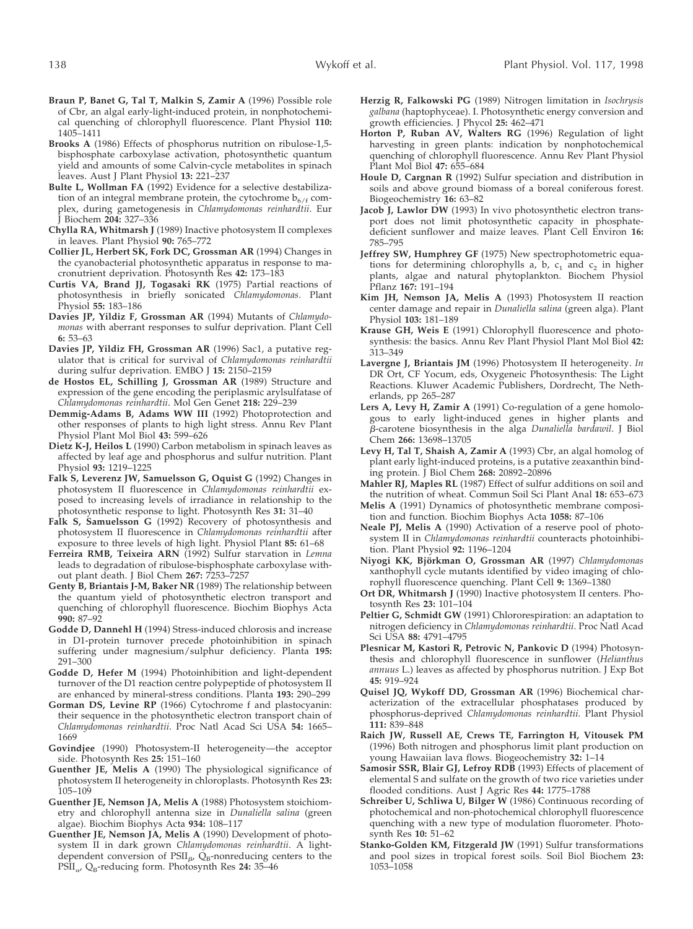- **Braun P, Banet G, Tal T, Malkin S, Zamir A** (1996) Possible role of Cbr, an algal early-light-induced protein, in nonphotochemical quenching of chlorophyll fluorescence. Plant Physiol **110:** 1405–1411
- **Brooks A** (1986) Effects of phosphorus nutrition on ribulose-1,5 bisphosphate carboxylase activation, photosynthetic quantum yield and amounts of some Calvin-cycle metabolites in spinach leaves. Aust J Plant Physiol **13:** 221–237
- **Bulte L, Wollman FA** (1992) Evidence for a selective destabilization of an integral membrane protein, the cytochrome  $b_{6}/f$  complex, during gametogenesis in *Chlamydomonas reinhardtii*. Eur J Biochem **204:** 327–336
- **Chylla RA, Whitmarsh J** (1989) Inactive photosystem II complexes in leaves. Plant Physiol **90:** 765–772
- **Collier JL, Herbert SK, Fork DC, Grossman AR** (1994) Changes in the cyanobacterial photosynthetic apparatus in response to macronutrient deprivation. Photosynth Res **42:** 173–183
- **Curtis VA, Brand JJ, Togasaki RK** (1975) Partial reactions of photosynthesis in briefly sonicated *Chlamydomonas*. Plant Physiol **55:** 183–186
- **Davies JP, Yildiz F, Grossman AR** (1994) Mutants of *Chlamydomonas* with aberrant responses to sulfur deprivation. Plant Cell **6:** 53–63
- **Davies JP, Yildiz FH, Grossman AR** (1996) Sac1, a putative regulator that is critical for survival of *Chlamydomonas reinhardtii* during sulfur deprivation. EMBO J **15:** 2150–2159
- **de Hostos EL, Schilling J, Grossman AR** (1989) Structure and expression of the gene encoding the periplasmic arylsulfatase of *Chlamydomonas reinhardtii*. Mol Gen Genet **218:** 229–239
- **Demmig-Adams B, Adams WW III** (1992) Photoprotection and other responses of plants to high light stress. Annu Rev Plant Physiol Plant Mol Biol **43:** 599–626
- **Dietz K-J, Heilos L** (1990) Carbon metabolism in spinach leaves as affected by leaf age and phosphorus and sulfur nutrition. Plant Physiol **93:** 1219–1225
- **Falk S, Leverenz JW, Samuelsson G, Oquist G** (1992) Changes in photosystem II fluorescence in *Chlamydomonas reinhardtii* exposed to increasing levels of irradiance in relationship to the photosynthetic response to light. Photosynth Res **31:** 31–40
- Falk S, Samuelsson G (1992) Recovery of photosynthesis and photosystem II fluorescence in *Chlamydomonas reinhardtii* after exposure to three levels of high light. Physiol Plant **85:** 61–68
- **Ferreira RMB, Teixeira ARN** (1992) Sulfur starvation in *Lemna* leads to degradation of ribulose-bisphosphate carboxylase without plant death. J Biol Chem **267:** 7253–7257
- **Genty B, Briantais J-M, Baker NR** (1989) The relationship between the quantum yield of photosynthetic electron transport and quenching of chlorophyll fluorescence. Biochim Biophys Acta **990:** 87–92
- **Godde D, Dannehl H** (1994) Stress-induced chlorosis and increase in D1-protein turnover precede photoinhibition in spinach suffering under magnesium/sulphur deficiency. Planta **195:** 291-300
- **Godde D, Hefer M** (1994) Photoinhibition and light-dependent turnover of the D1 reaction centre polypeptide of photosystem II are enhanced by mineral-stress conditions. Planta **193:** 290–299
- **Gorman DS, Levine RP** (1966) Cytochrome f and plastocyanin: their sequence in the photosynthetic electron transport chain of *Chlamydomonas reinhardtii*. Proc Natl Acad Sci USA **54:** 1665– 1669
- **Govindjee** (1990) Photosystem-II heterogeneity—the acceptor side. Photosynth Res **25:** 151–160
- **Guenther JE, Melis A** (1990) The physiological significance of photosystem II heterogeneity in chloroplasts. Photosynth Res **23:** 105–109
- **Guenther JE, Nemson JA, Melis A** (1988) Photosystem stoichiometry and chlorophyll antenna size in *Dunaliella salina* (green algae). Biochim Biophys Acta **934:** 108–117
- **Guenther JE, Nemson JA, Melis A** (1990) Development of photosystem II in dark grown *Chlamydomonas reinhardtii*. A lightdependent conversion of  $PSII_{\beta}$ ,  $Q_{\beta}$ -nonreducing centers to the PSII<sub>a</sub>, Q<sub>B</sub>-reducing form. Photosynth Res 24: 35-46
- **Herzig R, Falkowski PG** (1989) Nitrogen limitation in *Isochrysis galbana* (haptophyceae). I. Photosynthetic energy conversion and growth efficiencies. J Phycol **25:** 462–471
- **Horton P, Ruban AV, Walters RG** (1996) Regulation of light harvesting in green plants: indication by nonphotochemical quenching of chlorophyll fluorescence. Annu Rev Plant Physiol Plant Mol Biol **47:** 655–684
- **Houle D, Cargnan R** (1992) Sulfur speciation and distribution in soils and above ground biomass of a boreal coniferous forest. Biogeochemistry **16:** 63–82
- **Jacob J, Lawlor DW** (1993) In vivo photosynthetic electron transport does not limit photosynthetic capacity in phosphatedeficient sunflower and maize leaves. Plant Cell Environ **16:** 785–795
- **Jeffrey SW, Humphrey GF** (1975) New spectrophotometric equations for determining chlorophylls a, b,  $c_1$  and  $c_2$  in higher plants, algae and natural phytoplankton. Biochem Physiol Pflanz **167:** 191–194
- **Kim JH, Nemson JA, Melis A** (1993) Photosystem II reaction center damage and repair in *Dunaliella salina* (green alga). Plant Physiol **103:** 181–189
- **Krause GH, Weis E** (1991) Chlorophyll fluorescence and photosynthesis: the basics. Annu Rev Plant Physiol Plant Mol Biol **42:** 313–349
- **Lavergne J, Briantais JM** (1996) Photosystem II heterogeneity. *In* DR Ort, CF Yocum, eds, Oxygeneic Photosynthesis: The Light Reactions. Kluwer Academic Publishers, Dordrecht, The Netherlands, pp 265–287
- **Lers A, Levy H, Zamir A** (1991) Co-regulation of a gene homologous to early light-induced genes in higher plants and b-carotene biosynthesis in the alga *Dunaliella bardawil*. J Biol Chem **266:** 13698–13705
- **Levy H, Tal T, Shaish A, Zamir A** (1993) Cbr, an algal homolog of plant early light-induced proteins, is a putative zeaxanthin binding protein. J Biol Chem **268:** 20892–20896
- **Mahler RJ, Maples RL** (1987) Effect of sulfur additions on soil and the nutrition of wheat. Commun Soil Sci Plant Anal **18:** 653–673
- **Melis A** (1991) Dynamics of photosynthetic membrane composition and function. Biochim Biophys Acta **1058:** 87–106
- **Neale PJ, Melis A** (1990) Activation of a reserve pool of photosystem II in *Chlamydomonas reinhardtii* counteracts photoinhibition. Plant Physiol **92:** 1196–1204
- **Niyogi KK, Bjo¨rkman O, Grossman AR** (1997) *Chlamydomonas* xanthophyll cycle mutants identified by video imaging of chlorophyll fluorescence quenching. Plant Cell **9:** 1369–1380
- **Ort DR, Whitmarsh J** (1990) Inactive photosystem II centers. Photosynth Res **23:** 101–104
- **Peltier G, Schmidt GW** (1991) Chlororespiration: an adaptation to nitrogen deficiency in *Chlamydomonas reinhardtii*. Proc Natl Acad Sci USA **88:** 4791–4795
- **Plesnicar M, Kastori R, Petrovic N, Pankovic D** (1994) Photosynthesis and chlorophyll fluorescence in sunflower (*Helianthus annuus* L.) leaves as affected by phosphorus nutrition. J Exp Bot **45:** 919–924
- **Quisel JQ, Wykoff DD, Grossman AR** (1996) Biochemical characterization of the extracellular phosphatases produced by phosphorus-deprived *Chlamydomonas reinhardtii*. Plant Physiol **111:** 839–848
- **Raich JW, Russell AE, Crews TE, Farrington H, Vitousek PM** (1996) Both nitrogen and phosphorus limit plant production on young Hawaiian lava flows. Biogeochemistry **32:** 1–14
- **Samosir SSR, Blair GJ, Lefroy RDB** (1993) Effects of placement of elemental S and sulfate on the growth of two rice varieties under flooded conditions. Aust J Agric Res **44:** 1775–1788
- **Schreiber U, Schliwa U, Bilger W** (1986) Continuous recording of photochemical and non-photochemical chlorophyll fluorescence quenching with a new type of modulation fluorometer. Photosynth Res **10:** 51–62
- **Stanko-Golden KM, Fitzgerald JW** (1991) Sulfur transformations and pool sizes in tropical forest soils. Soil Biol Biochem **23:** 1053–1058